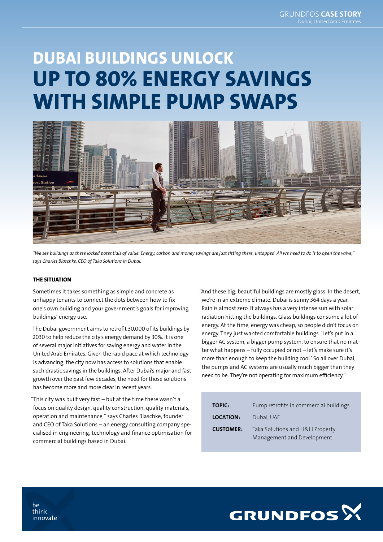# DUBAI BUILDINGS UNLOCK UP TO 80% ENERGY SAVINGS WITH SIMPLE PUMP SWAPS



*"We see buildings as these locked potentials of value. Energy, carbon and money savings are just sitting there, untapped. All we need to do is to open the valve," says Charles Blaschke, CEO of Taka Solutions in Dubai.*

#### THE SITUATION

Sometimes it takes something as simple and concrete as unhappy tenants to connect the dots between how to fix one's own building and your government's goals for improving buildings' energy use.

The Dubai government aims to retrofit 30,000 of its buildings by 2030 to help reduce the city's energy demand by 30%. It is one of several major initiatives for saving energy and water in the United Arab Emirates. Given the rapid pace at which technology is advancing, the city now has access to solutions that enable such drastic savings in the buildings. After Dubai's major and fast growth over the past few decades, the need for those solutions has become more and more clear in recent years.

"This city was built very fast – but at the time there wasn't a focus on quality design, quality construction, quality materials, operation and maintenance," says Charles Blaschke, founder and CEO of Taka Solutions – an energy consulting company specialised in engineering, technology and finance optimisation for commercial buildings based in Dubai.

"And these big, beautiful buildings are mostly glass. In the desert, we're in an extreme climate. Dubai is sunny 364 days a year. Rain is almost zero. It always has a very intense sun with solar radiation hitting the buildings. Glass buildings consume a lot of energy. At the time, energy was cheap, so people didn't focus on energy. They just wanted comfortable buildings. 'Let's put in a bigger AC system, a bigger pump system, to ensure that no matter what happens – fully occupied or not – let's make sure it's more than enough to keep the building cool.' So all over Dubai, the pumps and AC systems are usually much bigger than they need to be. They're not operating for maximum efficiency."

| <b>TOPIC:</b>    | Pump retrofits in commercial buildings                        |
|------------------|---------------------------------------------------------------|
| <b>LOCATION:</b> | Dubai, UAE                                                    |
| <b>CUSTOMER:</b> | Taka Solutions and H&H Property<br>Management and Development |



be think innovate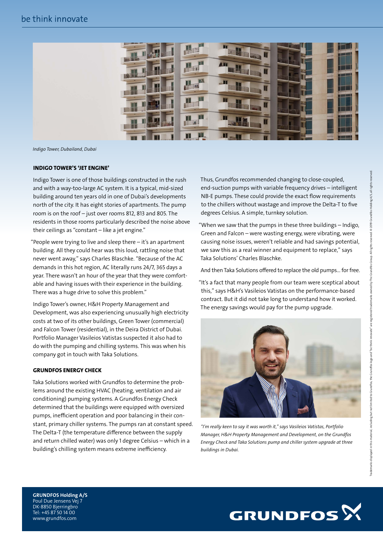

*Indigo Tower, Dubailand, Dubai*

### INDIGO TOWER'S 'JET ENGINE'

Indigo Tower is one of those buildings constructed in the rush and with a way-too-large AC system. It is a typical, mid-sized building around ten years old in one of Dubai's developments north of the city. It has eight stories of apartments. The pump room is on the roof – just over rooms 812, 813 and 805. The residents in those rooms particularly described the noise above their ceilings as "constant – like a jet engine."

"People were trying to live and sleep there – it's an apartment building. All they could hear was this loud, rattling noise that never went away," says Charles Blaschke. "Because of the AC demands in this hot region, AC literally runs 24/7, 365 days a year. There wasn't an hour of the year that they were comfortable and having issues with their experience in the building. There was a huge drive to solve this problem."

Indigo Tower's owner, H&H Property Management and Development, was also experiencing unusually high electricity costs at two of its other buildings, Green Tower (commercial) and Falcon Tower (residential), in the Deira District of Dubai. Portfolio Manager Vasileios Vatistas suspected it also had to do with the pumping and chilling systems. This was when his company got in touch with Taka Solutions.

## GRUNDFOS ENERGY CHECK

Taka Solutions worked with Grundfos to determine the problems around the existing HVAC (heating, ventilation and air conditioning) pumping systems. A Grundfos Energy Check determined that the buildings were equipped with oversized pumps, inefficient operation and poor balancing in their constant, primary chiller systems. The pumps ran at constant speed. The Delta-T (the temperature difference between the supply and return chilled water) was only 1 degree Celsius – which in a building's chilling system means extreme inefficiency.

Thus, Grundfos recommended changing to close-coupled, end-suction pumps with variable frequency drives – intelligent NB-E pumps. These could provide the exact flow requirements to the chillers without wastage and improve the Delta-T to five degrees Celsius. A simple, turnkey solution.

"When we saw that the pumps in these three buildings – Indigo, Green and Falcon – were wasting energy, were vibrating, were causing noise issues, weren't reliable and had savings potential, we saw this as a real winner and equipment to replace," says Taka Solutions' Charles Blaschke.

And then Taka Solutions offered to replace the old pumps… for free.

"It's a fact that many people from our team were sceptical about this," says H&H's Vasileios Vatistas on the performance-based contract. But it did not take long to understand how it worked. The energy savings would pay for the pump upgrade.



*"I'm really keen to say it was worth it," says Vasileios Vatistas, Portfolio Manager, H&H Property Management and Development, on the Grundfos Energy Check and Taka Solutions pump and chiller system upgrade at three buildings in Dubai.*

GRUNDFOS Holding A/S Poul Due Jensens Vej 7 DK-8850 Bjerringbro Tel: +45 87 50 14 00 www.grundfos.com

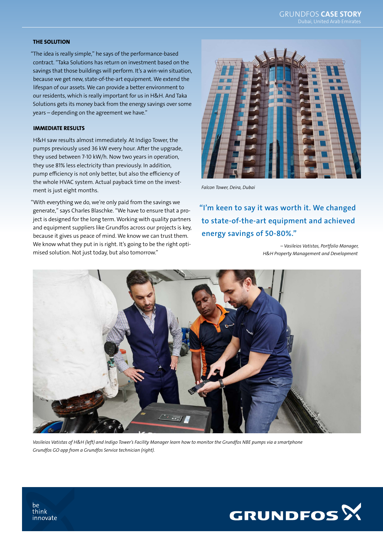### THE SOLUTION

"The idea is really simple," he says of the performance-based contract. "Taka Solutions has return on investment based on the savings that those buildings will perform. It's a win-win situation, because we get new, state-of-the-art equipment. We extend the lifespan of our assets. We can provide a better environment to our residents, which is really important for us in H&H. And Taka Solutions gets its money back from the energy savings over some years – depending on the agreement we have."

#### IMMEDIATE RESULTS

H&H saw results almost immediately. At Indigo Tower, the pumps previously used 36 kW every hour. After the upgrade, they used between 7-10 kW/h. Now two years in operation, they use 81% less electricity than previously. In addition, pump efficiency is not only better, but also the efficiency of the whole HVAC system. Actual payback time on the investment is just eight months.

"With everything we do, we're only paid from the savings we generate," says Charles Blaschke. "We have to ensure that a project is designed for the long term. Working with quality partners and equipment suppliers like Grundfos across our projects is key, because it gives us peace of mind. We know we can trust them. We know what they put in is right. It's going to be the right optimised solution. Not just today, but also tomorrow."



*Falcon Tower, Deira, Dubai*

"I'm keen to say it was worth it. We changed to state-of-the-art equipment and achieved energy savings of 50-80%."

> *– Vasileios Vatistas, Portfolio Manager, H&H Property Management and Development*



*Vasileios Vatistas of H&H (left) and Indigo Tower's Facility Manager learn how to monitor the Grundfos NBE pumps via a smartphone Grundfos GO app from a Grundfos Service technician (right).*



be think innovate